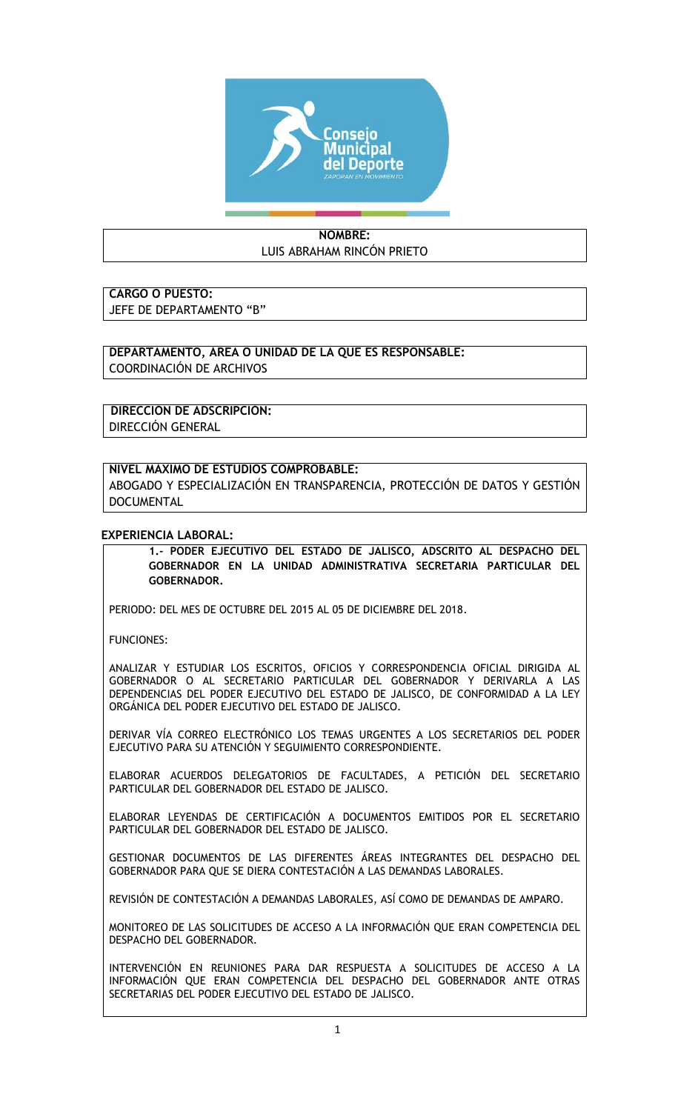

## **NOMBRE:** LUIS ABRAHAM RINCÓN PRIETO

**CARGO O PUESTO:**  JEFE DE DEPARTAMENTO "B"

**DEPARTAMENTO, ÁREA O UNIDAD DE LA QUE ES RESPONSABLE:** COORDINACIÓN DE ARCHIVOS

**DIRECCIÓN DE ADSCRIPCIÓN:** DIRECCIÓN GENERAL

## **NIVEL MÁXIMO DE ESTUDIOS COMPROBABLE:**

ABOGADO Y ESPECIALIZACIÓN EN TRANSPARENCIA, PROTECCIÓN DE DATOS Y GESTIÓN DOCUMENTAL

## **EXPERIENCIA LABORAL:**

**1.- PODER EJECUTIVO DEL ESTADO DE JALISCO, ADSCRITO AL DESPACHO DEL GOBERNADOR EN LA UNIDAD ADMINISTRATIVA SECRETARIA PARTICULAR DEL GOBERNADOR.**

PERIODO: DEL MES DE OCTUBRE DEL 2015 AL 05 DE DICIEMBRE DEL 2018.

FUNCIONES:

ANALIZAR Y ESTUDIAR LOS ESCRITOS, OFICIOS Y CORRESPONDENCIA OFICIAL DIRIGIDA AL GOBERNADOR O AL SECRETARIO PARTICULAR DEL GOBERNADOR Y DERIVARLA A LAS DEPENDENCIAS DEL PODER EJECUTIVO DEL ESTADO DE JALISCO, DE CONFORMIDAD A LA LEY ORGÁNICA DEL PODER EJECUTIVO DEL ESTADO DE JALISCO.

DERIVAR VÍA CORREO ELECTRÓNICO LOS TEMAS URGENTES A LOS SECRETARIOS DEL PODER EJECUTIVO PARA SU ATENCIÓN Y SEGUIMIENTO CORRESPONDIENTE.

ELABORAR ACUERDOS DELEGATORIOS DE FACULTADES, A PETICIÓN DEL SECRETARIO PARTICULAR DEL GOBERNADOR DEL ESTADO DE JALISCO.

ELABORAR LEYENDAS DE CERTIFICACIÓN A DOCUMENTOS EMITIDOS POR EL SECRETARIO PARTICULAR DEL GOBERNADOR DEL ESTADO DE JALISCO.

GESTIONAR DOCUMENTOS DE LAS DIFERENTES ÁREAS INTEGRANTES DEL DESPACHO DEL GOBERNADOR PARA QUE SE DIERA CONTESTACIÓN A LAS DEMANDAS LABORALES.

REVISIÓN DE CONTESTACIÓN A DEMANDAS LABORALES, ASÍ COMO DE DEMANDAS DE AMPARO.

MONITOREO DE LAS SOLICITUDES DE ACCESO A LA INFORMACIÓN QUE ERAN COMPETENCIA DEL DESPACHO DEL GOBERNADOR.

INTERVENCIÓN EN REUNIONES PARA DAR RESPUESTA A SOLICITUDES DE ACCESO A LA INFORMACIÓN QUE ERAN COMPETENCIA DEL DESPACHO DEL GOBERNADOR ANTE OTRAS SECRETARIAS DEL PODER EJECUTIVO DEL ESTADO DE JALISCO.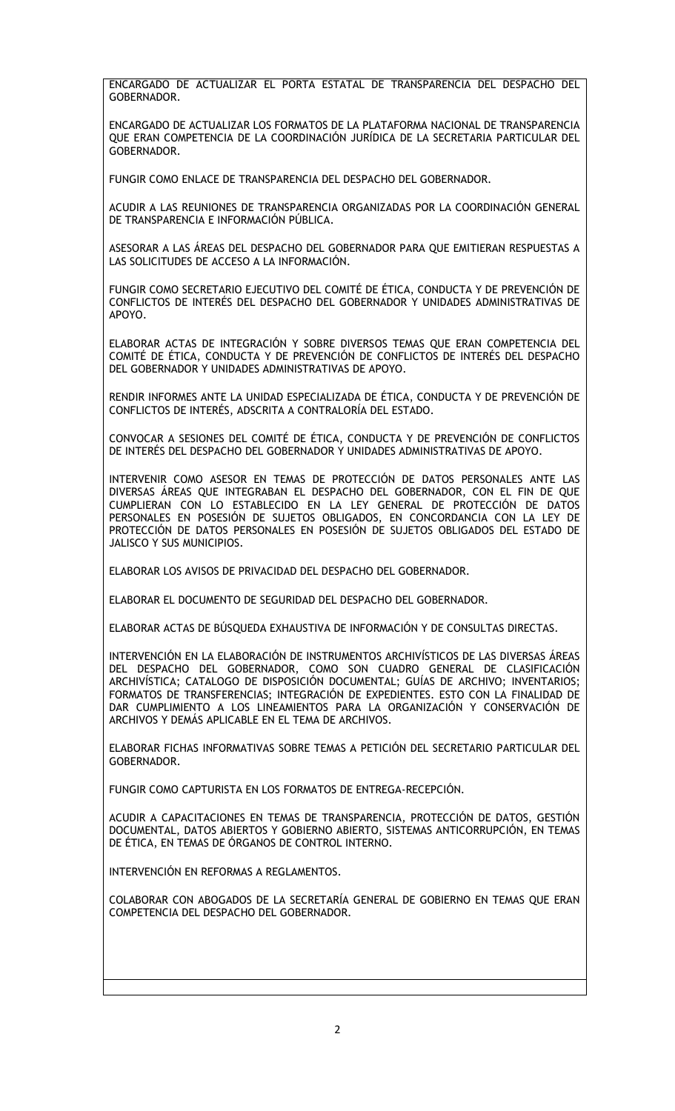ENCARGADO DE ACTUALIZAR EL PORTA ESTATAL DE TRANSPARENCIA DEL DESPACHO DEL **GOBERNADOR** 

ENCARGADO DE ACTUALIZAR LOS FORMATOS DE LA PLATAFORMA NACIONAL DE TRANSPARENCIA QUE ERAN COMPETENCIA DE LA COORDINACIÓN JURÍDICA DE LA SECRETARIA PARTICULAR DEL GOBERNADOR.

FUNGIR COMO ENLACE DE TRANSPARENCIA DEL DESPACHO DEL GOBERNADOR.

ACUDIR A LAS REUNIONES DE TRANSPARENCIA ORGANIZADAS POR LA COORDINACIÓN GENERAL DE TRANSPARENCIA E INFORMACIÓN PÚBLICA.

ASESORAR A LAS ÁREAS DEL DESPACHO DEL GOBERNADOR PARA QUE EMITIERAN RESPUESTAS A LAS SOLICITUDES DE ACCESO A LA INFORMACIÓN.

FUNGIR COMO SECRETARIO EJECUTIVO DEL COMITÉ DE ÉTICA, CONDUCTA Y DE PREVENCIÓN DE CONFLICTOS DE INTERÉS DEL DESPACHO DEL GOBERNADOR Y UNIDADES ADMINISTRATIVAS DE APOYO.

ELABORAR ACTAS DE INTEGRACIÓN Y SOBRE DIVERSOS TEMAS QUE ERAN COMPETENCIA DEL COMITÉ DE ÉTICA, CONDUCTA Y DE PREVENCIÓN DE CONFLICTOS DE INTERÉS DEL DESPACHO DEL GOBERNADOR Y UNIDADES ADMINISTRATIVAS DE APOYO.

RENDIR INFORMES ANTE LA UNIDAD ESPECIALIZADA DE ÉTICA, CONDUCTA Y DE PREVENCIÓN DE CONFLICTOS DE INTERÉS, ADSCRITA A CONTRALORÍA DEL ESTADO.

CONVOCAR A SESIONES DEL COMITÉ DE ÉTICA, CONDUCTA Y DE PREVENCIÓN DE CONFLICTOS DE INTERÉS DEL DESPACHO DEL GOBERNADOR Y UNIDADES ADMINISTRATIVAS DE APOYO.

INTERVENIR COMO ASESOR EN TEMAS DE PROTECCIÓN DE DATOS PERSONALES ANTE LAS DIVERSAS ÁREAS QUE INTEGRABAN EL DESPACHO DEL GOBERNADOR, CON EL FIN DE QUE CUMPLIERAN CON LO ESTABLECIDO EN LA LEY GENERAL DE PROTECCIÓN DE DATOS PERSONALES EN POSESIÓN DE SUJETOS OBLIGADOS, EN CONCORDANCIA CON LA LEY DE PROTECCIÓN DE DATOS PERSONALES EN POSESIÓN DE SUJETOS OBLIGADOS DEL ESTADO DE JALISCO Y SUS MUNICIPIOS.

ELABORAR LOS AVISOS DE PRIVACIDAD DEL DESPACHO DEL GOBERNADOR.

ELABORAR EL DOCUMENTO DE SEGURIDAD DEL DESPACHO DEL GOBERNADOR.

ELABORAR ACTAS DE BÚSQUEDA EXHAUSTIVA DE INFORMACIÓN Y DE CONSULTAS DIRECTAS.

INTERVENCIÓN EN LA ELABORACIÓN DE INSTRUMENTOS ARCHIVÍSTICOS DE LAS DIVERSAS ÁREAS DEL DESPACHO DEL GOBERNADOR, COMO SON CUADRO GENERAL DE CLASIFICACIÓN ARCHIVÍSTICA; CATALOGO DE DISPOSICIÓN DOCUMENTAL; GUÍAS DE ARCHIVO; INVENTARIOS; FORMATOS DE TRANSFERENCIAS; INTEGRACIÓN DE EXPEDIENTES. ESTO CON LA FINALIDAD DE DAR CUMPLIMIENTO A LOS LINEAMIENTOS PARA LA ORGANIZACIÓN Y CONSERVACIÓN DE ARCHIVOS Y DEMÁS APLICABLE EN EL TEMA DE ARCHIVOS.

ELABORAR FICHAS INFORMATIVAS SOBRE TEMAS A PETICIÓN DEL SECRETARIO PARTICULAR DEL GOBERNADOR.

FUNGIR COMO CAPTURISTA EN LOS FORMATOS DE ENTREGA-RECEPCIÓN.

ACUDIR A CAPACITACIONES EN TEMAS DE TRANSPARENCIA, PROTECCIÓN DE DATOS, GESTIÓN DOCUMENTAL, DATOS ABIERTOS Y GOBIERNO ABIERTO, SISTEMAS ANTICORRUPCIÓN, EN TEMAS DE ÉTICA, EN TEMAS DE ÓRGANOS DE CONTROL INTERNO.

INTERVENCIÓN EN REFORMAS A REGLAMENTOS.

COLABORAR CON ABOGADOS DE LA SECRETARÍA GENERAL DE GOBIERNO EN TEMAS QUE ERAN COMPETENCIA DEL DESPACHO DEL GOBERNADOR.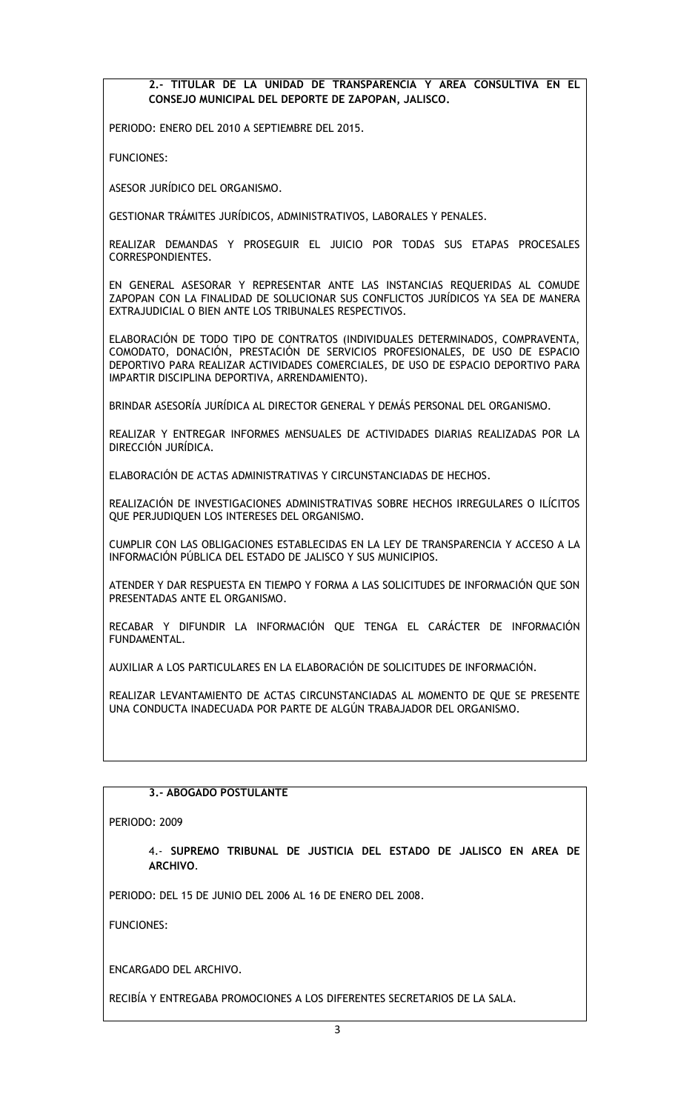**2.- TITULAR DE LA UNIDAD DE TRANSPARENCIA Y AREA CONSULTIVA EN EL CONSEJO MUNICIPAL DEL DEPORTE DE ZAPOPAN, JALISCO.**

PERIODO: ENERO DEL 2010 A SEPTIEMBRE DEL 2015.

FUNCIONES:

ASESOR JURÍDICO DEL ORGANISMO.

GESTIONAR TRÁMITES JURÍDICOS, ADMINISTRATIVOS, LABORALES Y PENALES.

REALIZAR DEMANDAS Y PROSEGUIR EL JUICIO POR TODAS SUS ETAPAS PROCESALES CORRESPONDIENTES.

EN GENERAL ASESORAR Y REPRESENTAR ANTE LAS INSTANCIAS REQUERIDAS AL COMUDE ZAPOPAN CON LA FINALIDAD DE SOLUCIONAR SUS CONFLICTOS JURÍDICOS YA SEA DE MANERA EXTRAJUDICIAL O BIEN ANTE LOS TRIBUNALES RESPECTIVOS.

ELABORACIÓN DE TODO TIPO DE CONTRATOS (INDIVIDUALES DETERMINADOS, COMPRAVENTA, COMODATO, DONACIÓN, PRESTACIÓN DE SERVICIOS PROFESIONALES, DE USO DE ESPACIO DEPORTIVO PARA REALIZAR ACTIVIDADES COMERCIALES, DE USO DE ESPACIO DEPORTIVO PARA IMPARTIR DISCIPLINA DEPORTIVA, ARRENDAMIENTO).

BRINDAR ASESORÍA JURÍDICA AL DIRECTOR GENERAL Y DEMÁS PERSONAL DEL ORGANISMO.

REALIZAR Y ENTREGAR INFORMES MENSUALES DE ACTIVIDADES DIARIAS REALIZADAS POR LA DIRECCIÓN JURÍDICA.

ELABORACIÓN DE ACTAS ADMINISTRATIVAS Y CIRCUNSTANCIADAS DE HECHOS.

REALIZACIÓN DE INVESTIGACIONES ADMINISTRATIVAS SOBRE HECHOS IRREGULARES O ILÍCITOS QUE PERJUDIQUEN LOS INTERESES DEL ORGANISMO.

CUMPLIR CON LAS OBLIGACIONES ESTABLECIDAS EN LA LEY DE TRANSPARENCIA Y ACCESO A LA INFORMACIÓN PÚBLICA DEL ESTADO DE JALISCO Y SUS MUNICIPIOS.

ATENDER Y DAR RESPUESTA EN TIEMPO Y FORMA A LAS SOLICITUDES DE INFORMACIÓN QUE SON PRESENTADAS ANTE EL ORGANISMO.

RECABAR Y DIFUNDIR LA INFORMACIÓN QUE TENGA EL CARÁCTER DE INFORMACIÓN FUNDAMENTAL.

AUXILIAR A LOS PARTICULARES EN LA ELABORACIÓN DE SOLICITUDES DE INFORMACIÓN.

REALIZAR LEVANTAMIENTO DE ACTAS CIRCUNSTANCIADAS AL MOMENTO DE QUE SE PRESENTE UNA CONDUCTA INADECUADA POR PARTE DE ALGÚN TRABAJADOR DEL ORGANISMO.

## **3.- ABOGADO POSTULANTE**

PERIODO: 2009

4.- **SUPREMO TRIBUNAL DE JUSTICIA DEL ESTADO DE JALISCO EN AREA DE ARCHIVO**.

PERIODO: DEL 15 DE JUNIO DEL 2006 AL 16 DE ENERO DEL 2008.

FUNCIONES:

ENCARGADO DEL ARCHIVO.

RECIBÍA Y ENTREGABA PROMOCIONES A LOS DIFERENTES SECRETARIOS DE LA SALA.